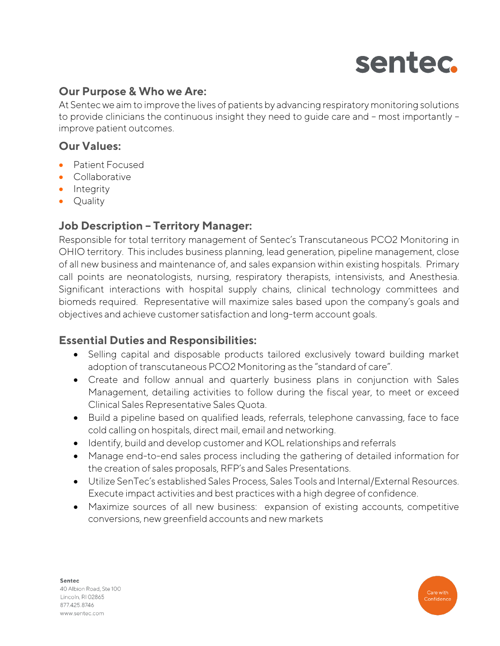

# **Our Purpose & Who we Are:**

At Sentec we aim to improve the lives of patients by advancing respiratory monitoring solutions to provide clinicians the continuous insight they need to guide care and – most importantly – improve patient outcomes.

# **Our Values:**

- Patient Focused
- Collaborative
- Integrity
- Quality

# **Job Description – Territory Manager:**

Responsible for total territory management of Sentec's Transcutaneous PCO2 Monitoring in OHIO territory. This includes business planning, lead generation, pipeline management, close of all new business and maintenance of, and sales expansion within existing hospitals. Primary call points are neonatologists, nursing, respiratory therapists, intensivists, and Anesthesia. Significant interactions with hospital supply chains, clinical technology committees and biomeds required. Representative will maximize sales based upon the company's goals and objectives and achieve customer satisfaction and long-term account goals.

### **Essential Duties and Responsibilities:**

- Selling capital and disposable products tailored exclusively toward building market adoption of transcutaneous PCO2 Monitoring as the "standard of care".
- Create and follow annual and quarterly business plans in conjunction with Sales Management, detailing activities to follow during the fiscal year, to meet or exceed Clinical Sales Representative Sales Quota.
- Build a pipeline based on qualified leads, referrals, telephone canvassing, face to face cold calling on hospitals, direct mail, email and networking.
- Identify, build and develop customer and KOL relationships and referrals
- Manage end-to-end sales process including the gathering of detailed information for the creation of sales proposals, RFP's and Sales Presentations.
- Utilize SenTec's established Sales Process, Sales Tools and Internal/External Resources. Execute impact activities and best practices with a high degree of confidence.
- Maximize sources of all new business: expansion of existing accounts, competitive conversions, new greenfield accounts and new markets



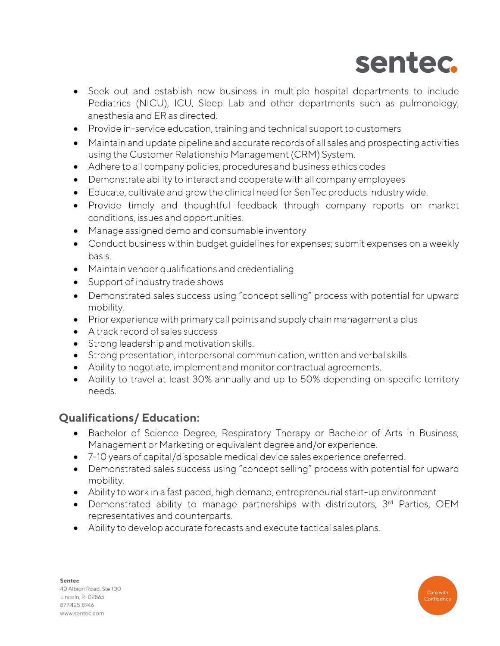

- Seek out and establish new business in multiple hospital departments to include Pediatrics (NICU), ICU, Sleep Lab and other departments such as pulmonology, anesthesia and ER as directed.
- Provide in-service education, training and technical support to customers
- Maintain and update pipeline and accurate records of all sales and prospecting activities using the Customer Relationship Management (CRM) System.
- Adhere to all company policies, procedures and business ethics codes
- Demonstrate ability to interact and cooperate with all company employees
- Educate, cultivate and grow the clinical need for SenTec products industry wide.
- Provide timely and thoughtful feedback through company reports on market conditions, issues and opportunities.
- Manage assigned demo and consumable inventory
- Conduct business within budget guidelines for expenses; submit expenses on a weekly basis.
- Maintain vendor qualifications and credentialing
- Support of industry trade shows
- Demonstrated sales success using "concept selling" process with potential for upward mobility.
- Prior experience with primary call points and supply chain management a plus
- A track record of sales success
- Strong leadership and motivation skills.
- Strong presentation, interpersonal communication, written and verbal skills.
- Ability to negotiate, implement and monitor contractual agreements.
- Ability to travel at least 30% annually and up to 50% depending on specific territory needs.

# **Qualifications/ Education:**

- Bachelor of Science Degree, Respiratory Therapy or Bachelor of Arts in Business, Management or Marketing or equivalent degree and/or experience.
- 7-10 years of capital/disposable medical device sales experience preferred.
- Demonstrated sales success using "concept selling" process with potential for upward mobility.
- Ability to work in a fast paced, high demand, entrepreneurial start-up environment
- Demonstrated ability to manage partnerships with distributors, 3<sup>rd</sup> Parties, OEM representatives and counterparts.
- Ability to develop accurate forecasts and execute tactical sales plans.